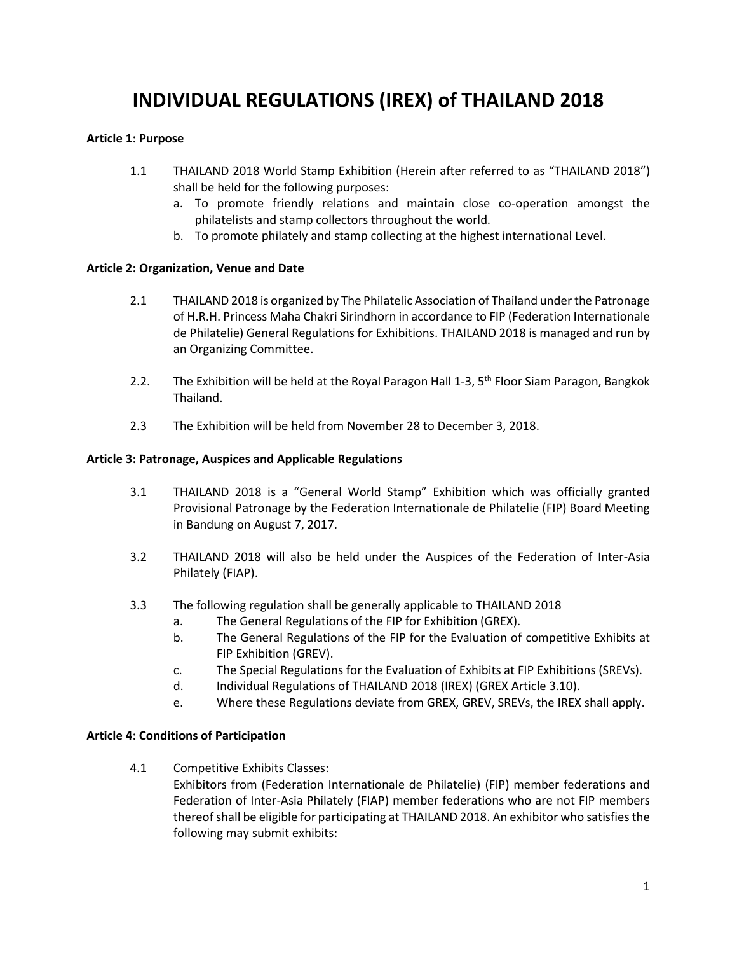# **INDIVIDUAL REGULATIONS (IREX) of THAILAND 2018**

## **Article 1: Purpose**

- 1.1 THAILAND 2018 World Stamp Exhibition (Herein after referred to as "THAILAND 2018") shall be held for the following purposes:
	- a. To promote friendly relations and maintain close co-operation amongst the philatelists and stamp collectors throughout the world.
	- b. To promote philately and stamp collecting at the highest international Level.

## **Article 2: Organization, Venue and Date**

- 2.1 THAILAND 2018 is organized by The Philatelic Association of Thailand under the Patronage of H.R.H. Princess Maha Chakri Sirindhorn in accordance to FIP (Federation Internationale de Philatelie) General Regulations for Exhibitions. THAILAND 2018 is managed and run by an Organizing Committee.
- 2.2. The Exhibition will be held at the Royal Paragon Hall 1-3, 5<sup>th</sup> Floor Siam Paragon, Bangkok Thailand.
- 2.3 The Exhibition will be held from November 28 to December 3, 2018.

## **Article 3: Patronage, Auspices and Applicable Regulations**

- 3.1 THAILAND 2018 is a "General World Stamp" Exhibition which was officially granted Provisional Patronage by the Federation Internationale de Philatelie (FIP) Board Meeting in Bandung on August 7, 2017.
- 3.2 THAILAND 2018 will also be held under the Auspices of the Federation of Inter-Asia Philately (FIAP).
- 3.3 The following regulation shall be generally applicable to THAILAND 2018
	- a. The General Regulations of the FIP for Exhibition (GREX).
	- b. The General Regulations of the FIP for the Evaluation of competitive Exhibits at FIP Exhibition (GREV).
	- c. The Special Regulations for the Evaluation of Exhibits at FIP Exhibitions (SREVs).
	- d. Individual Regulations of THAILAND 2018 (IREX) (GREX Article 3.10).
	- e. Where these Regulations deviate from GREX, GREV, SREVs, the IREX shall apply.

# **Article 4: Conditions of Participation**

4.1 Competitive Exhibits Classes:

Exhibitors from (Federation Internationale de Philatelie) (FIP) member federations and Federation of Inter-Asia Philately (FIAP) member federations who are not FIP members thereof shall be eligible for participating at THAILAND 2018. An exhibitor who satisfies the following may submit exhibits: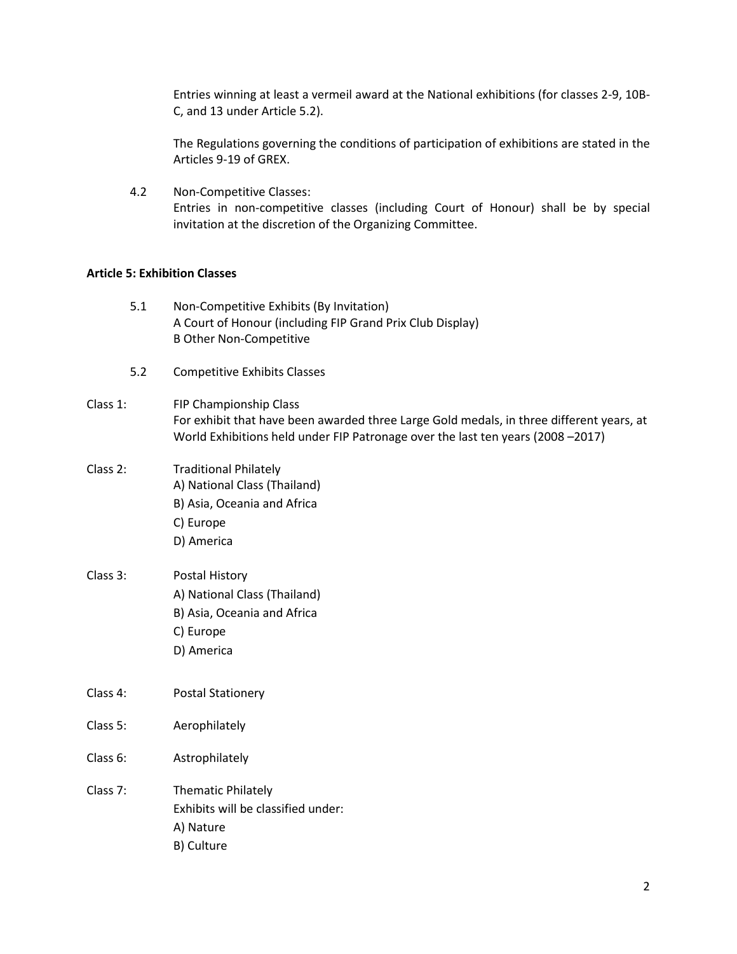Entries winning at least a vermeil award at the National exhibitions (for classes 2-9, 10B-C, and 13 under Article 5.2).

The Regulations governing the conditions of participation of exhibitions are stated in the Articles 9-19 of GREX.

4.2 Non-Competitive Classes: Entries in non-competitive classes (including Court of Honour) shall be by special invitation at the discretion of the Organizing Committee.

## **Article 5: Exhibition Classes**

| 5.1      | Non-Competitive Exhibits (By Invitation)<br>A Court of Honour (including FIP Grand Prix Club Display)<br><b>B Other Non-Competitive</b>                                                               |
|----------|-------------------------------------------------------------------------------------------------------------------------------------------------------------------------------------------------------|
| 5.2      | <b>Competitive Exhibits Classes</b>                                                                                                                                                                   |
| Class 1: | FIP Championship Class<br>For exhibit that have been awarded three Large Gold medals, in three different years, at<br>World Exhibitions held under FIP Patronage over the last ten years (2008 -2017) |
| Class 2: | <b>Traditional Philately</b><br>A) National Class (Thailand)<br>B) Asia, Oceania and Africa<br>C) Europe<br>D) America                                                                                |
| Class 3: | Postal History<br>A) National Class (Thailand)<br>B) Asia, Oceania and Africa<br>C) Europe<br>D) America                                                                                              |
| Class 4: | <b>Postal Stationery</b>                                                                                                                                                                              |
| Class 5: | Aerophilately                                                                                                                                                                                         |
| Class 6: | Astrophilately                                                                                                                                                                                        |
| Class 7: | <b>Thematic Philately</b><br>Exhibits will be classified under:<br>A) Nature<br>B) Culture                                                                                                            |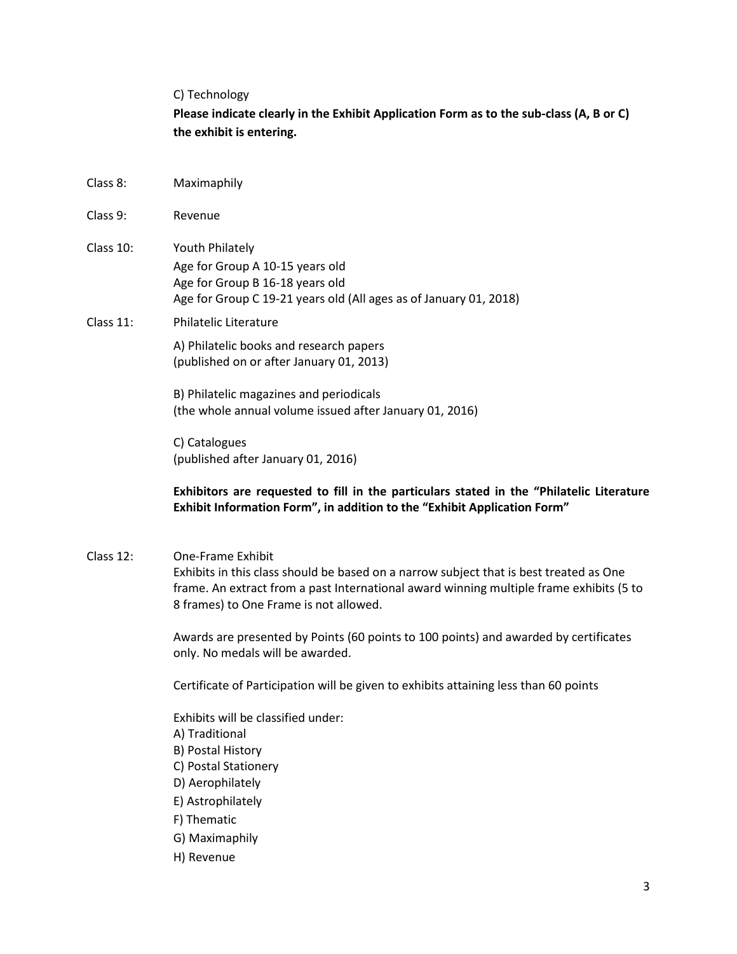#### C) Technology

**Please indicate clearly in the Exhibit Application Form as to the sub-class (A, B or C) the exhibit is entering.**

- Class 8: Maximaphily
- Class 9: Revenue
- Class 10: Youth Philately Age for Group A 10-15 years old Age for Group B 16-18 years old Age for Group C 19-21 years old (All ages as of January 01, 2018)
- Class 11: Philatelic Literature

A) Philatelic books and research papers (published on or after January 01, 2013)

B) Philatelic magazines and periodicals (the whole annual volume issued after January 01, 2016)

C) Catalogues (published after January 01, 2016)

# **Exhibitors are requested to fill in the particulars stated in the "Philatelic Literature Exhibit Information Form", in addition to the "Exhibit Application Form"**

Class 12: One-Frame Exhibit

Exhibits in this class should be based on a narrow subject that is best treated as One frame. An extract from a past International award winning multiple frame exhibits (5 to 8 frames) to One Frame is not allowed.

Awards are presented by Points (60 points to 100 points) and awarded by certificates only. No medals will be awarded.

Certificate of Participation will be given to exhibits attaining less than 60 points

Exhibits will be classified under: A) Traditional B) Postal History C) Postal Stationery D) Aerophilately E) Astrophilately F) Thematic G) Maximaphily

H) Revenue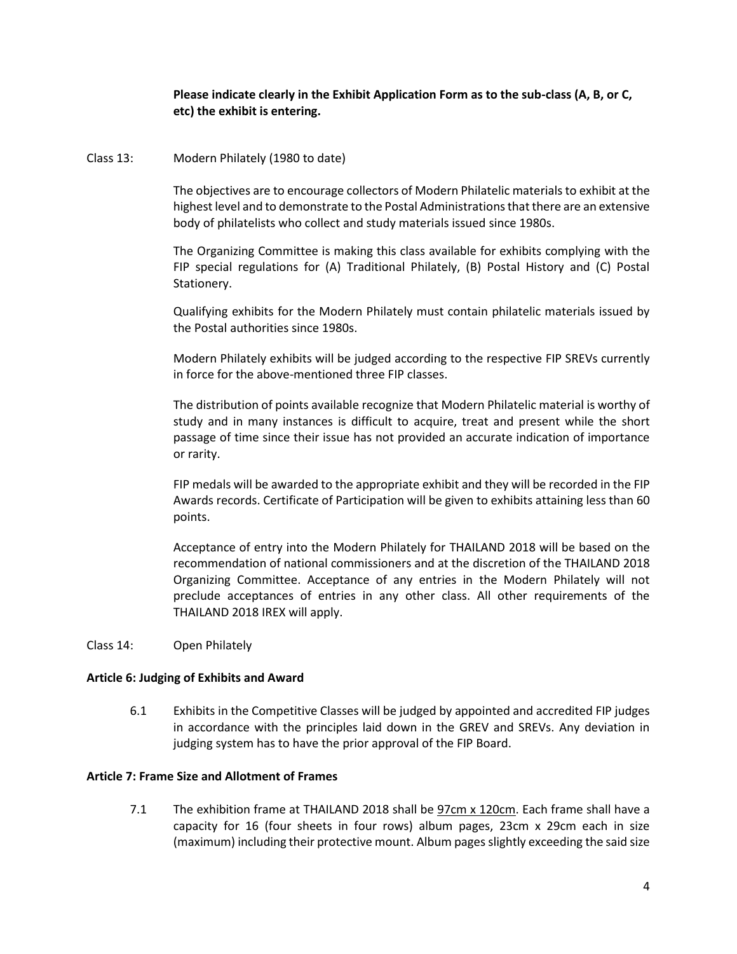# **Please indicate clearly in the Exhibit Application Form as to the sub-class (A, B, or C, etc) the exhibit is entering.**

## Class 13: Modern Philately (1980 to date)

The objectives are to encourage collectors of Modern Philatelic materials to exhibit at the highest level and to demonstrate to the Postal Administrations that there are an extensive body of philatelists who collect and study materials issued since 1980s.

The Organizing Committee is making this class available for exhibits complying with the FIP special regulations for (A) Traditional Philately, (B) Postal History and (C) Postal Stationery.

Qualifying exhibits for the Modern Philately must contain philatelic materials issued by the Postal authorities since 1980s.

Modern Philately exhibits will be judged according to the respective FIP SREVs currently in force for the above-mentioned three FIP classes.

The distribution of points available recognize that Modern Philatelic material is worthy of study and in many instances is difficult to acquire, treat and present while the short passage of time since their issue has not provided an accurate indication of importance or rarity.

FIP medals will be awarded to the appropriate exhibit and they will be recorded in the FIP Awards records. Certificate of Participation will be given to exhibits attaining less than 60 points.

Acceptance of entry into the Modern Philately for THAILAND 2018 will be based on the recommendation of national commissioners and at the discretion of the THAILAND 2018 Organizing Committee. Acceptance of any entries in the Modern Philately will not preclude acceptances of entries in any other class. All other requirements of the THAILAND 2018 IREX will apply.

Class 14: Open Philately

#### **Article 6: Judging of Exhibits and Award**

6.1 Exhibits in the Competitive Classes will be judged by appointed and accredited FIP judges in accordance with the principles laid down in the GREV and SREVs. Any deviation in judging system has to have the prior approval of the FIP Board.

#### **Article 7: Frame Size and Allotment of Frames**

7.1 The exhibition frame at THAILAND 2018 shall be 97cm x 120cm. Each frame shall have a capacity for 16 (four sheets in four rows) album pages, 23cm x 29cm each in size (maximum) including their protective mount. Album pages slightly exceeding the said size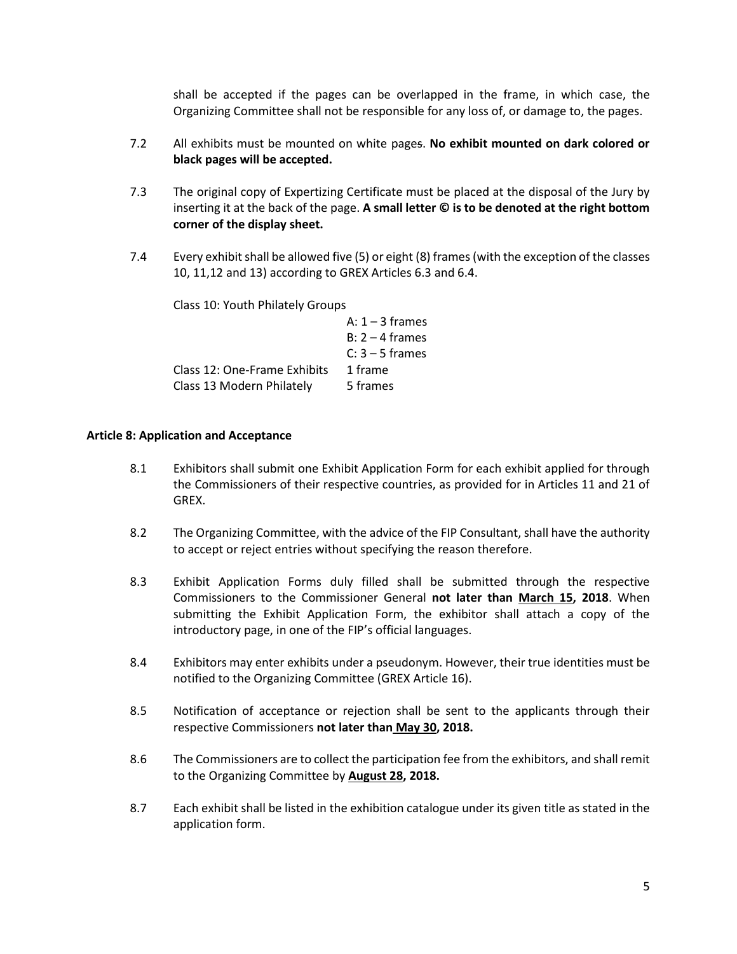shall be accepted if the pages can be overlapped in the frame, in which case, the Organizing Committee shall not be responsible for any loss of, or damage to, the pages.

- 7.2 All exhibits must be mounted on white pages. **No exhibit mounted on dark colored or black pages will be accepted.**
- 7.3 The original copy of Expertizing Certificate must be placed at the disposal of the Jury by inserting it at the back of the page. **A small letter © is to be denoted at the right bottom corner of the display sheet.**
- 7.4 Every exhibit shall be allowed five (5) or eight (8) frames(with the exception of the classes 10, 11,12 and 13) according to GREX Articles 6.3 and 6.4.

Class 10: Youth Philately Groups

|                              | A: $1 - 3$ frames |
|------------------------------|-------------------|
|                              | $B: 2 - 4$ frames |
|                              | $C: 3 - 5$ frames |
| Class 12: One-Frame Exhibits | 1 frame           |
| Class 13 Modern Philately    | 5 frames          |

## **Article 8: Application and Acceptance**

- 8.1 Exhibitors shall submit one Exhibit Application Form for each exhibit applied for through the Commissioners of their respective countries, as provided for in Articles 11 and 21 of GREX.
- 8.2 The Organizing Committee, with the advice of the FIP Consultant, shall have the authority to accept or reject entries without specifying the reason therefore.
- 8.3 Exhibit Application Forms duly filled shall be submitted through the respective Commissioners to the Commissioner General **not later than March 15, 2018**. When submitting the Exhibit Application Form, the exhibitor shall attach a copy of the introductory page, in one of the FIP's official languages.
- 8.4 Exhibitors may enter exhibits under a pseudonym. However, their true identities must be notified to the Organizing Committee (GREX Article 16).
- 8.5 Notification of acceptance or rejection shall be sent to the applicants through their respective Commissioners **not later than May 30, 2018.**
- 8.6 The Commissioners are to collect the participation fee from the exhibitors, and shall remit to the Organizing Committee by **August 28, 2018.**
- 8.7 Each exhibit shall be listed in the exhibition catalogue under its given title as stated in the application form.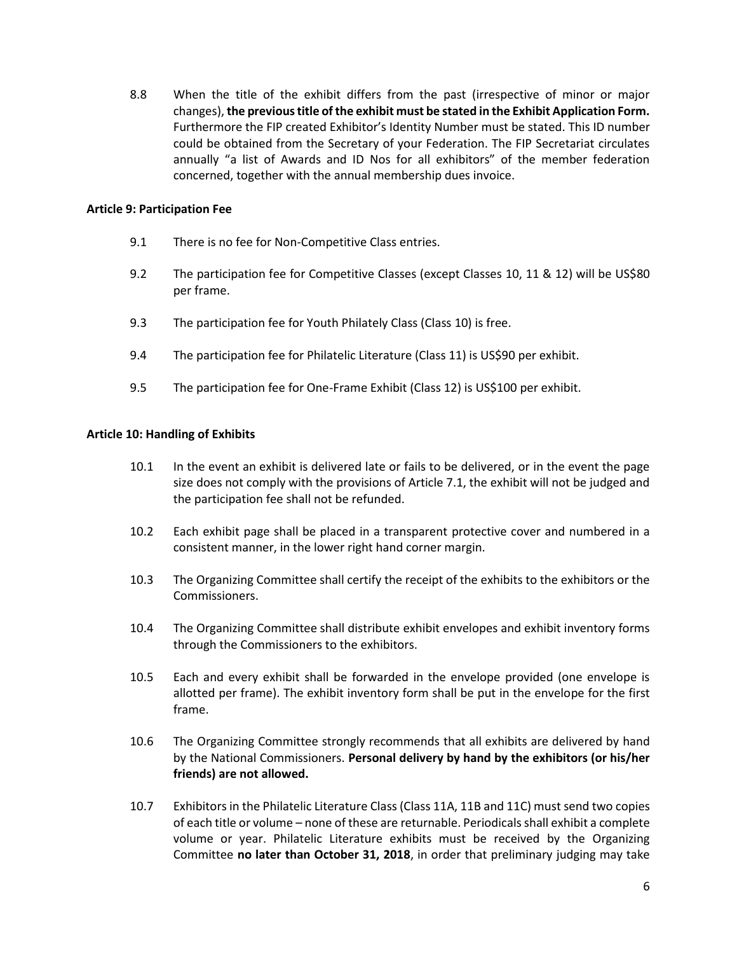8.8 When the title of the exhibit differs from the past (irrespective of minor or major changes), **the previous title of the exhibit must be stated in the Exhibit Application Form.** Furthermore the FIP created Exhibitor's Identity Number must be stated. This ID number could be obtained from the Secretary of your Federation. The FIP Secretariat circulates annually "a list of Awards and ID Nos for all exhibitors" of the member federation concerned, together with the annual membership dues invoice.

## **Article 9: Participation Fee**

- 9.1 There is no fee for Non-Competitive Class entries.
- 9.2 The participation fee for Competitive Classes (except Classes 10, 11 & 12) will be US\$80 per frame.
- 9.3 The participation fee for Youth Philately Class (Class 10) is free.
- 9.4 The participation fee for Philatelic Literature (Class 11) is US\$90 per exhibit.
- 9.5 The participation fee for One-Frame Exhibit (Class 12) is US\$100 per exhibit.

# **Article 10: Handling of Exhibits**

- 10.1 In the event an exhibit is delivered late or fails to be delivered, or in the event the page size does not comply with the provisions of Article 7.1, the exhibit will not be judged and the participation fee shall not be refunded.
- 10.2 Each exhibit page shall be placed in a transparent protective cover and numbered in a consistent manner, in the lower right hand corner margin.
- 10.3 The Organizing Committee shall certify the receipt of the exhibits to the exhibitors or the Commissioners.
- 10.4 The Organizing Committee shall distribute exhibit envelopes and exhibit inventory forms through the Commissioners to the exhibitors.
- 10.5 Each and every exhibit shall be forwarded in the envelope provided (one envelope is allotted per frame). The exhibit inventory form shall be put in the envelope for the first frame.
- 10.6 The Organizing Committee strongly recommends that all exhibits are delivered by hand by the National Commissioners. **Personal delivery by hand by the exhibitors (or his/her friends) are not allowed.**
- 10.7 Exhibitors in the Philatelic Literature Class (Class 11A, 11B and 11C) must send two copies of each title or volume – none of these are returnable. Periodicals shall exhibit a complete volume or year. Philatelic Literature exhibits must be received by the Organizing Committee **no later than October 31, 2018**, in order that preliminary judging may take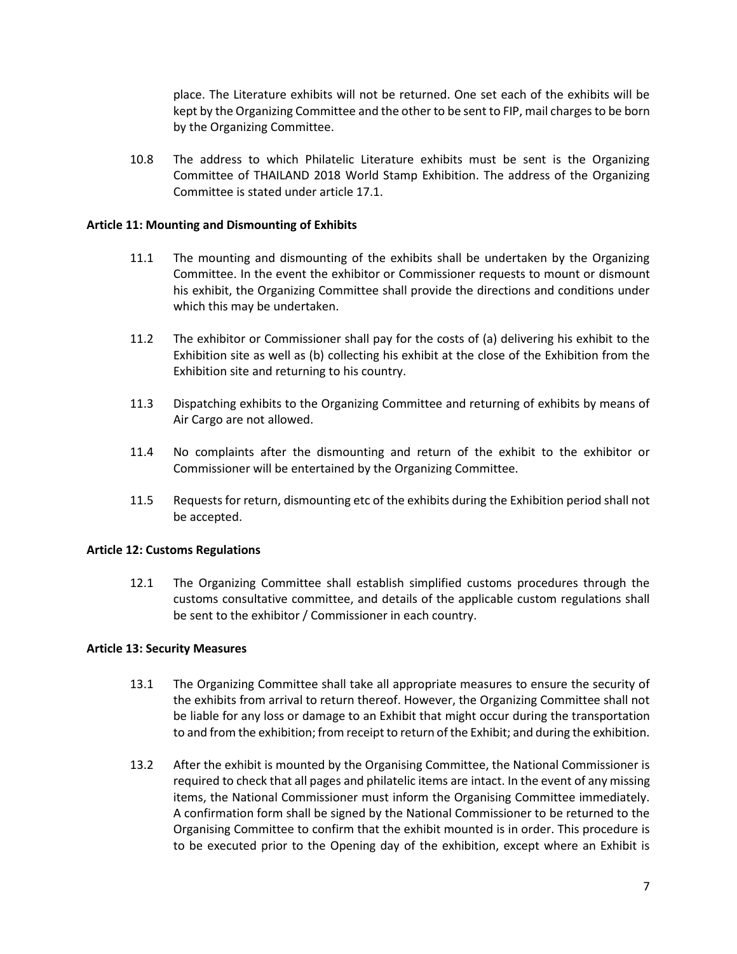place. The Literature exhibits will not be returned. One set each of the exhibits will be kept by the Organizing Committee and the other to be sent to FIP, mail charges to be born by the Organizing Committee.

10.8 The address to which Philatelic Literature exhibits must be sent is the Organizing Committee of THAILAND 2018 World Stamp Exhibition. The address of the Organizing Committee is stated under article 17.1.

# **Article 11: Mounting and Dismounting of Exhibits**

- 11.1 The mounting and dismounting of the exhibits shall be undertaken by the Organizing Committee. In the event the exhibitor or Commissioner requests to mount or dismount his exhibit, the Organizing Committee shall provide the directions and conditions under which this may be undertaken.
- 11.2 The exhibitor or Commissioner shall pay for the costs of (a) delivering his exhibit to the Exhibition site as well as (b) collecting his exhibit at the close of the Exhibition from the Exhibition site and returning to his country.
- 11.3 Dispatching exhibits to the Organizing Committee and returning of exhibits by means of Air Cargo are not allowed.
- 11.4 No complaints after the dismounting and return of the exhibit to the exhibitor or Commissioner will be entertained by the Organizing Committee.
- 11.5 Requests for return, dismounting etc of the exhibits during the Exhibition period shall not be accepted.

#### **Article 12: Customs Regulations**

12.1 The Organizing Committee shall establish simplified customs procedures through the customs consultative committee, and details of the applicable custom regulations shall be sent to the exhibitor / Commissioner in each country.

#### **Article 13: Security Measures**

- 13.1 The Organizing Committee shall take all appropriate measures to ensure the security of the exhibits from arrival to return thereof. However, the Organizing Committee shall not be liable for any loss or damage to an Exhibit that might occur during the transportation to and from the exhibition; from receipt to return of the Exhibit; and during the exhibition.
- 13.2 After the exhibit is mounted by the Organising Committee, the National Commissioner is required to check that all pages and philatelic items are intact. In the event of any missing items, the National Commissioner must inform the Organising Committee immediately. A confirmation form shall be signed by the National Commissioner to be returned to the Organising Committee to confirm that the exhibit mounted is in order. This procedure is to be executed prior to the Opening day of the exhibition, except where an Exhibit is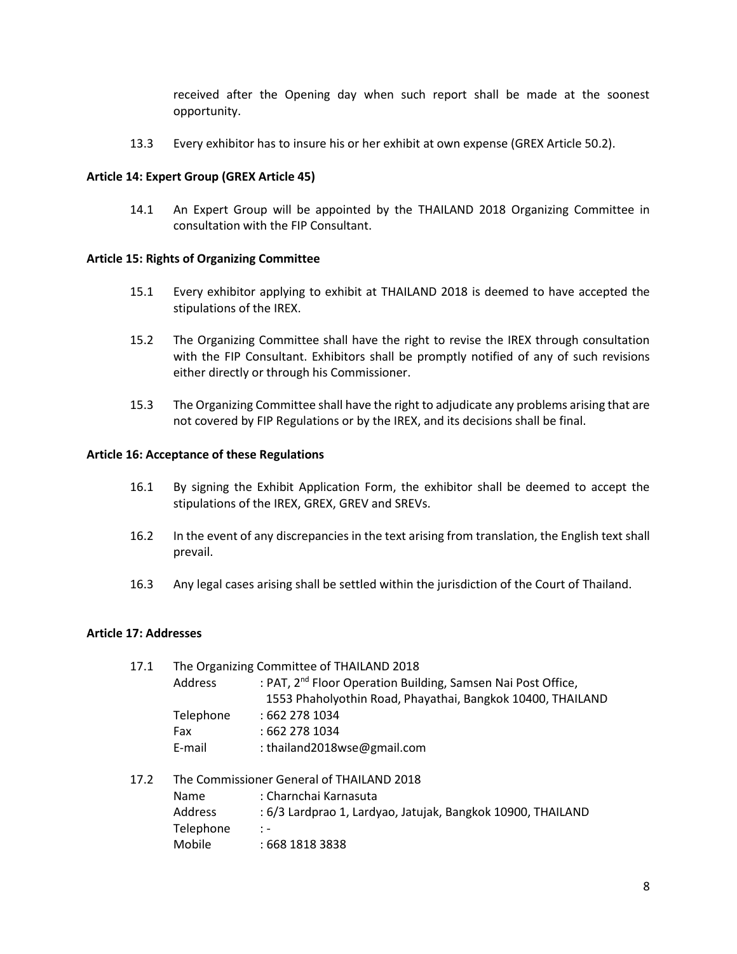received after the Opening day when such report shall be made at the soonest opportunity.

13.3 Every exhibitor has to insure his or her exhibit at own expense (GREX Article 50.2).

# **Article 14: Expert Group (GREX Article 45)**

14.1 An Expert Group will be appointed by the THAILAND 2018 Organizing Committee in consultation with the FIP Consultant.

## **Article 15: Rights of Organizing Committee**

- 15.1 Every exhibitor applying to exhibit at THAILAND 2018 is deemed to have accepted the stipulations of the IREX.
- 15.2 The Organizing Committee shall have the right to revise the IREX through consultation with the FIP Consultant. Exhibitors shall be promptly notified of any of such revisions either directly or through his Commissioner.
- 15.3 The Organizing Committee shall have the right to adjudicate any problems arising that are not covered by FIP Regulations or by the IREX, and its decisions shall be final.

## **Article 16: Acceptance of these Regulations**

- 16.1 By signing the Exhibit Application Form, the exhibitor shall be deemed to accept the stipulations of the IREX, GREX, GREV and SREVs.
- 16.2 In the event of any discrepancies in the text arising from translation, the English text shall prevail.
- 16.3 Any legal cases arising shall be settled within the jurisdiction of the Court of Thailand.

#### **Article 17: Addresses**

| 17.1 | The Organizing Committee of THAILAND 2018 |                                                                          |  |  |  |
|------|-------------------------------------------|--------------------------------------------------------------------------|--|--|--|
|      | Address                                   | : PAT, 2 <sup>nd</sup> Floor Operation Building, Samsen Nai Post Office, |  |  |  |
|      |                                           | 1553 Phaholyothin Road, Phayathai, Bangkok 10400, THAILAND               |  |  |  |
|      | Telephone                                 | :6622781034                                                              |  |  |  |
|      | Fax                                       | : 662 278 1034                                                           |  |  |  |
|      | E-mail                                    | : thailand2018wse@gmail.com                                              |  |  |  |
| 17.2 | The Commissioner General of THAILAND 2018 |                                                                          |  |  |  |
|      | Name                                      | : Charnchai Karnasuta                                                    |  |  |  |
|      | <b>Address</b>                            | : 6/3 Lardprao 1, Lardyao, Jatujak, Bangkok 10900, THAILAND              |  |  |  |
|      | Telephone                                 | $\mathbb{I}$ –                                                           |  |  |  |
|      | Mobile                                    | : 668 1818 3838                                                          |  |  |  |